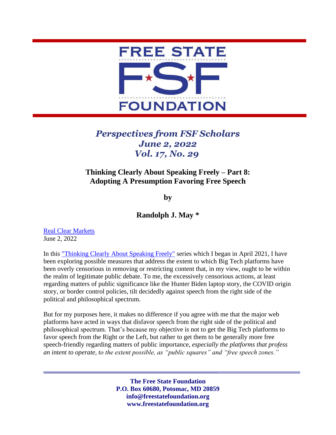

## *Perspectives from FSF Scholars June 2, 2022 Vol. 17, No. 29*

## **Thinking Clearly About Speaking Freely – Part 8: Adopting A Presumption Favoring Free Speech**

**by**

## **Randolph J. May \***

[Real Clear Markets](https://www.realclearmarkets.com/articles/2022/06/02/thinking_clearly_about_speaking_freely_suggestions_for_facebook_and_twitter_835282.html) June 2, 2022

In this ["Thinking Clearly About Speaking Freely"](https://freestatefoundation.org/wp-content/uploads/2021/04/Thinking-Clearly-About-Speaking-Freely-–-Part-1-041921.pdf) series which I began in April 2021, I have been exploring possible measures that address the extent to which Big Tech platforms have been overly censorious in removing or restricting content that, in my view, ought to be within the realm of legitimate public debate. To me, the excessively censorious actions, at least regarding matters of public significance like the Hunter Biden laptop story, the COVID origin story, or border control policies, tilt decidedly against speech from the right side of the political and philosophical spectrum.

But for my purposes here, it makes no difference if you agree with me that the major web platforms have acted in ways that disfavor speech from the right side of the political and philosophical spectrum. That's because my objective is not to get the Big Tech platforms to favor speech from the Right or the Left, but rather to get them to be generally more free speech-friendly regarding matters of public importance, *especially the platforms that profess an intent to operate, to the extent possible, as "public squares" and "free speech zones."*

> **The Free State Foundation P.O. Box 60680, Potomac, MD 20859 info@freestatefoundation.org www.freestatefoundation.org**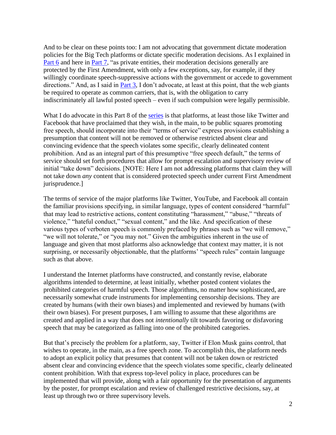And to be clear on these points too: I am not advocating that government dictate moderation policies for the Big Tech platforms or dictate specific moderation decisions. As I explained in [Part](https://freestatefoundation.org/wp-content/uploads/2022/06/Thinking-Clearly-About-Speaking-Freely-%E2%80%93-Part-6-All-Atwitter-About-Twitter-041822.pdf) 6 and here in [Part 7,](https://freestatefoundation.org/wp-content/uploads/2022/06/Thinking-Clearly-About-Speaking-Freely-%E2%80%93-Part-7-Misusing-Misinformation-050222.pdf) "as private entities, their moderation decisions generally are protected by the First Amendment, with only a few exceptions, say, for example, if they willingly coordinate speech-suppressive actions with the government or accede to government directions." And, as I said in [Part 3,](https://freestatefoundation.org/wp-content/uploads/2021/06/Thinking-Clearly-About-Speaking-Freely-–-Part-3-060421.pdf) I don't advocate, at least at this point, that the web giants be required to operate as common carriers, that is, with the obligation to carry indiscriminately all lawful posted speech – even if such compulsion were legally permissible.

What I do advocate in this Part 8 of the [series](https://freestatefoundation.org/thinking-clearly-about-speaking-freely-2/) is that platforms, at least those like Twitter and Facebook that have proclaimed that they wish, in the main, to be public squares promoting free speech, should incorporate into their "terms of service" express provisions establishing a presumption that content will not be removed or otherwise restricted absent clear and convincing evidence that the speech violates some specific, clearly delineated content prohibition. And as an integral part of this presumptive "free speech default," the terms of service should set forth procedures that allow for prompt escalation and supervisory review of initial "take down" decisions. [NOTE: Here I am not addressing platforms that claim they will not take down *any* content that is considered protected speech under current First Amendment jurisprudence.]

The terms of service of the major platforms like Twitter, YouTube, and Facebook all contain the familiar provisions specifying, in similar language, types of content considered "harmful" that may lead to restrictive actions, content constituting "harassment," "abuse," "threats of violence," "hateful conduct," "sexual content," and the like. And specification of these various types of verboten speech is commonly prefaced by phrases such as "we will remove," "we will not tolerate," or "you may not." Given the ambiguities inherent in the use of language and given that most platforms also acknowledge that context may matter, it is not surprising, or necessarily objectionable, that the platforms' "speech rules" contain language such as that above.

I understand the Internet platforms have constructed, and constantly revise, elaborate algorithms intended to determine, at least initially, whether posted content violates the prohibited categories of harmful speech. Those algorithms, no matter how sophisticated, are necessarily somewhat crude instruments for implementing censorship decisions. They are created by humans (with their own biases) and implemented and reviewed by humans (with their own biases). For present purposes, I am willing to assume that these algorithms are created and applied in a way that does not *intentionally* tilt towards favoring or disfavoring speech that may be categorized as falling into one of the prohibited categories.

But that's precisely the problem for a platform, say, Twitter if Elon Musk gains control, that wishes to operate, in the main, as a free speech zone. To accomplish this, the platform needs to adopt an explicit policy that presumes that content will not be taken down or restricted absent clear and convincing evidence that the speech violates some specific, clearly delineated content prohibition. With that express top-level policy in place, procedures can be implemented that will provide, along with a fair opportunity for the presentation of arguments by the poster, for prompt escalation and review of challenged restrictive decisions, say, at least up through two or three supervisory levels.